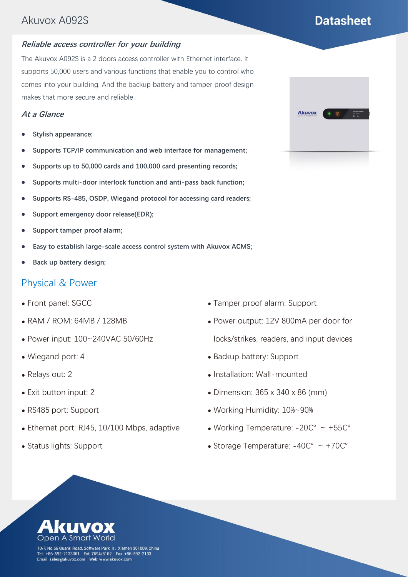# **Datasheet**

#### **Reliable access controller for your building**

The Akuvox A092S is a 2 doors access controller with Ethernet interface. It supports 50,000 users and various functions that enable you to control who comes into your building. And the backup battery and tamper proof design makes that more secure and reliable.

#### **At a Glance**

- **Stylish appearance;**
- **Supports TCP/IP communication and web interface for management;**
- **Supports up to 50,000 cards and 100,000 card presenting records;**
- **Supports multi-door interlock function and anti-pass back function;**
- **Supports RS-485, OSDP, Wiegand protocol for accessing card readers;**
- **Support emergency door release(EDR);**
- **Support tamper proof alarm;**
- **Easy to establish large-scale access control system with Akuvox ACMS;**
- **Back up battery design;**

#### Physical & Power

- Front panel: SGCC
- RAM / ROM: 64MB / 128MB
- Power input: 100~240VAC 50/60Hz
- Wiegand port: 4
- Relays out: 2
- Exit button input: 2
- RS485 port: Support
- Ethernet port: RJ45, 10/100 Mbps, adaptive
- Status lights: Support
- Tamper proof alarm: Support
- Power output: 12V 800mA per door for locks/strikes, readers, and input devices
- Backup battery: Support
- Installation: Wall-mounted
- $\bullet$  Dimension: 365 x 340 x 86 (mm)
- Working Humidity: 10%~90%
- Working Temperature: -20℃ ~ +55℃
- Storage Temperature: -40℃ ~ +70℃



10/F, No.56 Guanri Road, Software Park II, Xiamen 361009, China Tel: +86-592-2133061 Ext: 7694/8162 Fax: +86-592-2133